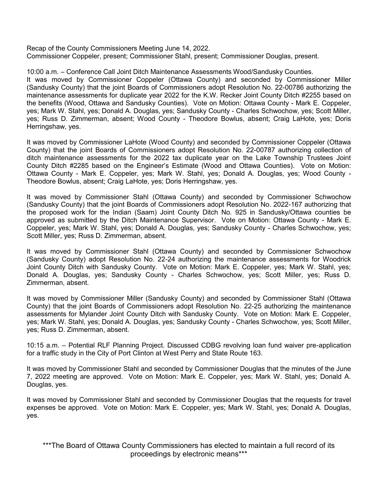Recap of the County Commissioners Meeting June 14, 2022. Commissioner Coppeler, present; Commissioner Stahl, present; Commissioner Douglas, present.

10:00 a.m. – Conference Call Joint Ditch Maintenance Assessments Wood/Sandusky Counties. It was moved by Commissioner Coppeler (Ottawa County) and seconded by Commissioner Miller (Sandusky County) that the joint Boards of Commissioners adopt Resolution No. 22-00786 authorizing the maintenance assessments for duplicate year 2022 for the K.W. Recker Joint County Ditch #2255 based on the benefits (Wood, Ottawa and Sandusky Counties). Vote on Motion: Ottawa County - Mark E. Coppeler, yes; Mark W. Stahl, yes; Donald A. Douglas, yes; Sandusky County - Charles Schwochow, yes; Scott Miller, yes; Russ D. Zimmerman, absent; Wood County - Theodore Bowlus, absent; Craig LaHote, yes; Doris Herringshaw, yes.

It was moved by Commissioner LaHote (Wood County) and seconded by Commissioner Coppeler (Ottawa County) that the joint Boards of Commissioners adopt Resolution No. 22-00787 authorizing collection of ditch maintenance assessments for the 2022 tax duplicate year on the Lake Township Trustees Joint County Ditch #2285 based on the Engineer's Estimate (Wood and Ottawa Counties). Vote on Motion: Ottawa County - Mark E. Coppeler, yes; Mark W. Stahl, yes; Donald A. Douglas, yes; Wood County - Theodore Bowlus, absent; Craig LaHote, yes; Doris Herringshaw, yes.

It was moved by Commissioner Stahl (Ottawa County) and seconded by Commissioner Schwochow (Sandusky County) that the joint Boards of Commissioners adopt Resolution No. 2022-167 authorizing that the proposed work for the Indian (Saam) Joint County Ditch No. 925 in Sandusky/Ottawa counties be approved as submitted by the Ditch Maintenance Supervisor. Vote on Motion: Ottawa County - Mark E. Coppeler, yes; Mark W. Stahl, yes; Donald A. Douglas, yes; Sandusky County - Charles Schwochow, yes; Scott Miller, yes; Russ D. Zimmerman, absent.

It was moved by Commissioner Stahl (Ottawa County) and seconded by Commissioner Schwochow (Sandusky County) adopt Resolution No. 22-24 authorizing the maintenance assessments for Woodrick Joint County Ditch with Sandusky County. Vote on Motion: Mark E. Coppeler, yes; Mark W. Stahl, yes; Donald A. Douglas, yes; Sandusky County - Charles Schwochow, yes; Scott Miller, yes; Russ D. Zimmerman, absent.

It was moved by Commissioner Miller (Sandusky County) and seconded by Commissioner Stahl (Ottawa County) that the joint Boards of Commissioners adopt Resolution No. 22-25 authorizing the maintenance assessments for Mylander Joint County Ditch with Sandusky County. Vote on Motion: Mark E. Coppeler, yes; Mark W. Stahl, yes; Donald A. Douglas, yes; Sandusky County - Charles Schwochow, yes; Scott Miller, yes; Russ D. Zimmerman, absent.

10:15 a.m. – Potential RLF Planning Project. Discussed CDBG revolving loan fund waiver pre-application for a traffic study in the City of Port Clinton at West Perry and State Route 163.

It was moved by Commissioner Stahl and seconded by Commissioner Douglas that the minutes of the June 7, 2022 meeting are approved. Vote on Motion: Mark E. Coppeler, yes; Mark W. Stahl, yes; Donald A. Douglas, yes.

It was moved by Commissioner Stahl and seconded by Commissioner Douglas that the requests for travel expenses be approved. Vote on Motion: Mark E. Coppeler, yes; Mark W. Stahl, yes; Donald A. Douglas, yes.

\*\*\*The Board of Ottawa County Commissioners has elected to maintain a full record of its proceedings by electronic means\*\*\*